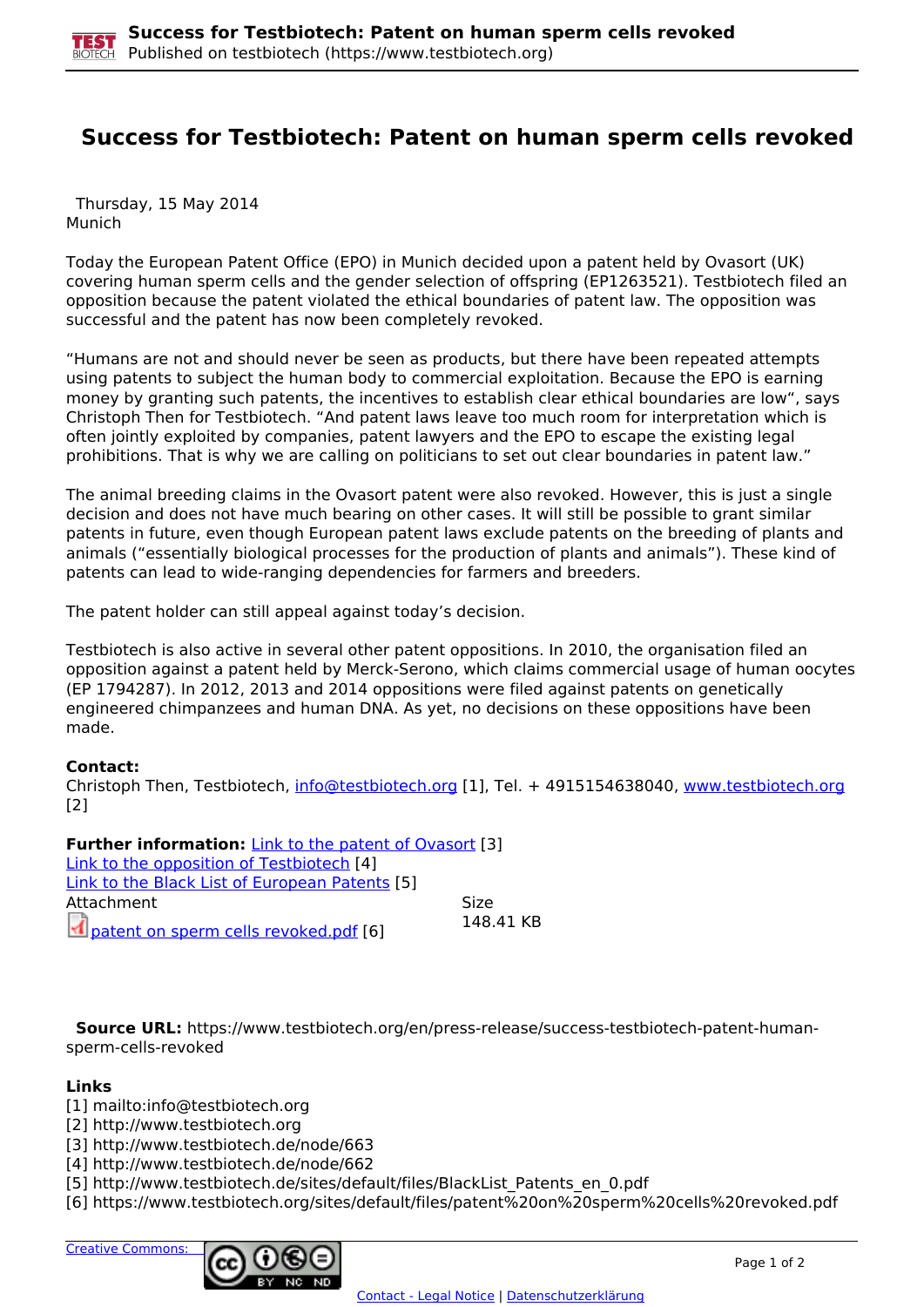## **Success for Testbiotech: Patent on human sperm cells revoked**

 Thursday, 15 May 2014 Munich

Today the European Patent Office (EPO) in Munich decided upon a patent held by Ovasort (UK) covering human sperm cells and the gender selection of offspring (EP1263521). Testbiotech filed an opposition because the patent violated the ethical boundaries of patent law. The opposition was successful and the patent has now been completely revoked.

"Humans are not and should never be seen as products, but there have been repeated attempts using patents to subject the human body to commercial exploitation. Because the EPO is earning money by granting such patents, the incentives to establish clear ethical boundaries are low", says Christoph Then for Testbiotech. "And patent laws leave too much room for interpretation which is often jointly exploited by companies, patent lawyers and the EPO to escape the existing legal prohibitions. That is why we are calling on politicians to set out clear boundaries in patent law."

The animal breeding claims in the Ovasort patent were also revoked. However, this is just a single decision and does not have much bearing on other cases. It will still be possible to grant similar patents in future, even though European patent laws exclude patents on the breeding of plants and animals ("essentially biological processes for the production of plants and animals"). These kind of patents can lead to wide-ranging dependencies for farmers and breeders.

The patent holder can still appeal against today's decision.

Testbiotech is also active in several other patent oppositions. In 2010, the organisation filed an opposition against a patent held by Merck-Serono, which claims commercial usage of human oocytes (EP 1794287). In 2012, 2013 and 2014 oppositions were filed against patents on genetically engineered chimpanzees and human DNA. As yet, no decisions on these oppositions have been made.

## **Contact:**

Christoph Then, Testbiotech, [info@testbiotech.org](mailto:info@testbiotech.org) [1], Tel. + 4915154638040, www.testbiotech.org [2]

**Further information:** Link to the patent of Ovasort [3] Link to the opposition of Testbiotech [4] Link to the Black List of European Patents [5] Attachment Size patent on sperm cells revoked.pdf [6] 148.41 KB

 **Source URL:** https://www.testbiotech.org/en/press-release/success-testbiotech-patent-humansperm-cells-revoked

## **Links**

[1] mailto:info@testbiotech.org

[2] http://www.testbiotech.org

[3] http://www.testbiotech.de/node/663

[4] http://www.testbiotech.de/node/662

[5] http://www.testbiotech.de/sites/default/files/BlackList\_Patents\_en\_0.pdf

[6] https://www.testbiotech.org/sites/default/files/patent%20on%20sperm%20cells%20revoked.pdf